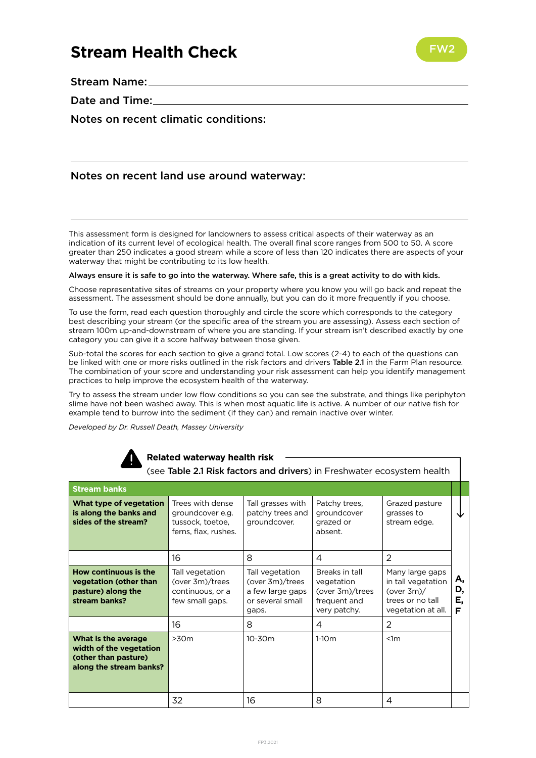# **Stream Health Check**



Stream Name:

Date and Time:

Notes on recent climatic conditions:

## Notes on recent land use around waterway:

This assessment form is designed for landowners to assess critical aspects of their waterway as an indication of its current level of ecological health. The overall final score ranges from 500 to 50. A score greater than 250 indicates a good stream while a score of less than 120 indicates there are aspects of your waterway that might be contributing to its low health.

#### Always ensure it is safe to go into the waterway. Where safe, this is a great activity to do with kids.

Choose representative sites of streams on your property where you know you will go back and repeat the assessment. The assessment should be done annually, but you can do it more frequently if you choose.

To use the form, read each question thoroughly and circle the score which corresponds to the category best describing your stream (or the specific area of the stream you are assessing). Assess each section of stream 100m up-and-downstream of where you are standing. If your stream isn't described exactly by one category you can give it a score halfway between those given.

Sub-total the scores for each section to give a grand total. Low scores (2-4) to each of the questions can be linked with one or more risks outlined in the risk factors and drivers Table 2.1 in the Farm Plan resource. The combination of your score and understanding your risk assessment can help you identify management practices to help improve the ecosystem health of the waterway.

Try to assess the stream under low flow conditions so you can see the substrate, and things like periphyton slime have not been washed away. This is when most aquatic life is active. A number of our native fish for example tend to burrow into the sediment (if they can) and remain inactive over winter.

*Developed by Dr. Russell Death, Massey University*



#### **Related waterway health risk**

(see Table 2.1 Risk factors and drivers) in Freshwater ecosystem health

 $\sim$ 

| <b>Stream banks</b>                                                                               |                                                                                  |                                                                                     |                                                                                 |                                                                                                  |                     |
|---------------------------------------------------------------------------------------------------|----------------------------------------------------------------------------------|-------------------------------------------------------------------------------------|---------------------------------------------------------------------------------|--------------------------------------------------------------------------------------------------|---------------------|
| What type of vegetation<br>is along the banks and<br>sides of the stream?                         | Trees with dense<br>groundcover e.g.<br>tussock, toetoe,<br>ferns, flax, rushes. | Tall grasses with<br>patchy trees and<br>groundcover.                               | Patchy trees,<br>groundcover<br>grazed or<br>absent.                            | Grazed pasture<br>grasses to<br>stream edge.                                                     |                     |
|                                                                                                   | 16                                                                               | 8                                                                                   | 4                                                                               | $\mathcal{P}$                                                                                    |                     |
| How continuous is the<br>vegetation (other than<br>pasture) along the<br>stream banks?            | Tall vegetation<br>(over 3m)/trees<br>continuous, or a<br>few small gaps.        | Tall vegetation<br>(over 3m)/trees<br>a few large gaps<br>or several small<br>gaps. | Breaks in tall<br>vegetation<br>(over 3m)/trees<br>frequent and<br>very patchy. | Many large gaps<br>in tall vegetation<br>(over $3m$ )/<br>trees or no tall<br>vegetation at all. | А,<br>D,<br>Ε,<br>F |
|                                                                                                   | 16                                                                               | 8                                                                                   | 4                                                                               | 2                                                                                                |                     |
| What is the average<br>width of the vegetation<br>(other than pasture)<br>along the stream banks? | >30m                                                                             | $10 - 30m$                                                                          | $1-10m$                                                                         | < 1m                                                                                             |                     |
|                                                                                                   | 32                                                                               | 16                                                                                  | 8                                                                               | 4                                                                                                |                     |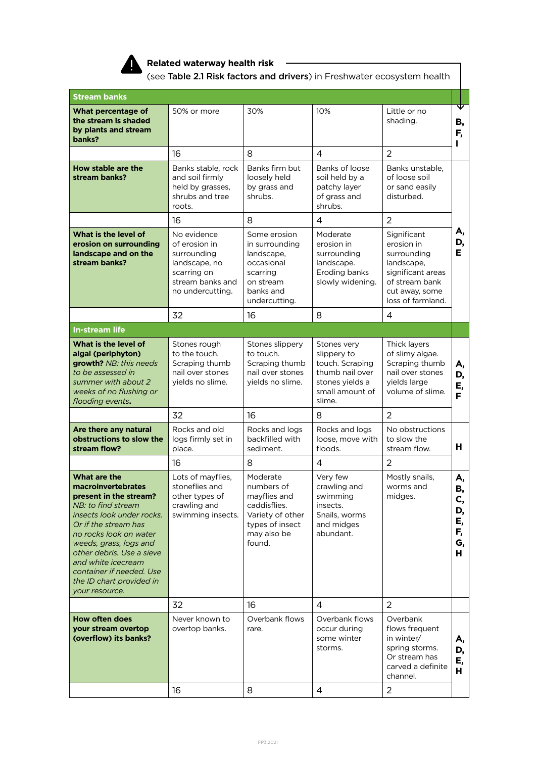

**Related waterway health risk** ———————

(see Table 2.1 Risk factors and drivers) in Freshwater ecosystem health

| <b>Stream banks</b>                                                                                                                                                                                                                                                                                                             |                                                                                                                     |                                                                                                                        |                                                                                                                  |                                                                                                                                      |                                             |
|---------------------------------------------------------------------------------------------------------------------------------------------------------------------------------------------------------------------------------------------------------------------------------------------------------------------------------|---------------------------------------------------------------------------------------------------------------------|------------------------------------------------------------------------------------------------------------------------|------------------------------------------------------------------------------------------------------------------|--------------------------------------------------------------------------------------------------------------------------------------|---------------------------------------------|
| What percentage of<br>the stream is shaded<br>by plants and stream<br>banks?                                                                                                                                                                                                                                                    | 50% or more                                                                                                         | 30%                                                                                                                    | 10%                                                                                                              | Little or no<br>shading.                                                                                                             | ⊽<br>В,<br>F,<br>L                          |
|                                                                                                                                                                                                                                                                                                                                 | 16                                                                                                                  | 8                                                                                                                      | $\overline{4}$                                                                                                   | $\overline{2}$                                                                                                                       |                                             |
| How stable are the<br>stream banks?                                                                                                                                                                                                                                                                                             | Banks stable, rock<br>and soil firmly<br>held by grasses,<br>shrubs and tree<br>roots.                              | Banks firm but<br>loosely held<br>by grass and<br>shrubs.                                                              | Banks of loose<br>soil held by a<br>patchy layer<br>of grass and<br>shrubs.                                      | Banks unstable,<br>of loose soil<br>or sand easily<br>disturbed.                                                                     |                                             |
|                                                                                                                                                                                                                                                                                                                                 | 16                                                                                                                  | 8                                                                                                                      | 4                                                                                                                | $\overline{2}$                                                                                                                       |                                             |
| What is the level of<br>erosion on surrounding<br>landscape and on the<br>stream banks?                                                                                                                                                                                                                                         | No evidence<br>of erosion in<br>surrounding<br>landscape, no<br>scarring on<br>stream banks and<br>no undercutting. | Some erosion<br>in surrounding<br>landscape,<br>occasional<br>scarring<br>on stream<br>banks and<br>undercutting.      | Moderate<br>erosion in<br>surrounding<br>landscape.<br>Eroding banks<br>slowly widening.                         | Significant<br>erosion in<br>surrounding<br>landscape,<br>significant areas<br>of stream bank<br>cut away, some<br>loss of farmland. | Α,<br>D,<br>Е.                              |
|                                                                                                                                                                                                                                                                                                                                 | 32                                                                                                                  | 16                                                                                                                     | 8                                                                                                                | $\overline{4}$                                                                                                                       |                                             |
| <b>In-stream life</b>                                                                                                                                                                                                                                                                                                           |                                                                                                                     |                                                                                                                        |                                                                                                                  |                                                                                                                                      |                                             |
| What is the level of<br>algal (periphyton)<br>growth? NB: this needs<br>to be assessed in<br>summer with about 2<br>weeks of no flushing or<br>flooding events.                                                                                                                                                                 | Stones rough<br>to the touch.<br>Scraping thumb<br>nail over stones<br>yields no slime.                             | Stones slippery<br>to touch.<br>Scraping thumb<br>nail over stones<br>yields no slime.                                 | Stones very<br>slippery to<br>touch. Scraping<br>thumb nail over<br>stones yields a<br>small amount of<br>slime. | Thick layers<br>of slimy algae.<br>Scraping thumb<br>nail over stones<br>yields large<br>volume of slime.                            | А,<br>D,<br>Ε,<br>F                         |
|                                                                                                                                                                                                                                                                                                                                 | 32                                                                                                                  | 16                                                                                                                     | 8                                                                                                                | 2                                                                                                                                    |                                             |
| Are there any natural<br>obstructions to slow the<br>stream flow?                                                                                                                                                                                                                                                               | Rocks and old<br>logs firmly set in<br>place.                                                                       | Rocks and logs<br>backfilled with<br>sediment.                                                                         | Rocks and logs<br>loose, move with<br>floods.                                                                    | No obstructions<br>to slow the<br>stream flow.                                                                                       | н                                           |
|                                                                                                                                                                                                                                                                                                                                 | 16                                                                                                                  | 8                                                                                                                      | $\overline{4}$                                                                                                   | 2                                                                                                                                    |                                             |
| What are the<br><b>macroinvertebrates</b><br>present in the stream?<br>NB: to find stream<br>insects look under rocks.<br>Or if the stream has<br>no rocks look on water<br>weeds, grass, logs and<br>other debris. Use a sieve<br>and white icecream<br>container if needed. Use<br>the ID chart provided in<br>your resource. | Lots of mayflies,<br>stoneflies and<br>other types of<br>crawling and<br>swimming insects.                          | Moderate<br>numbers of<br>mayflies and<br>caddisflies.<br>Variety of other<br>types of insect<br>may also be<br>found. | Very few<br>crawling and<br>swimming<br>insects.<br>Snails, worms<br>and midges<br>abundant.                     | Mostly snails,<br>worms and<br>midges.                                                                                               | А,<br>В,<br>C,<br>D,<br>Ε,<br>F,<br>G,<br>н |
|                                                                                                                                                                                                                                                                                                                                 | 32                                                                                                                  | 16                                                                                                                     | 4                                                                                                                | 2                                                                                                                                    |                                             |
| <b>How often does</b><br>your stream overtop<br>(overflow) its banks?                                                                                                                                                                                                                                                           | Never known to<br>overtop banks.                                                                                    | Overbank flows<br>rare.                                                                                                | Overbank flows<br>occur during<br>some winter<br>storms.                                                         | Overbank<br>flows frequent<br>in winter/<br>spring storms.<br>Or stream has<br>carved a definite<br>channel.                         | Α,<br>D,<br>Ε,<br>н                         |
|                                                                                                                                                                                                                                                                                                                                 | 16                                                                                                                  | 8                                                                                                                      | 4                                                                                                                | $\overline{2}$                                                                                                                       |                                             |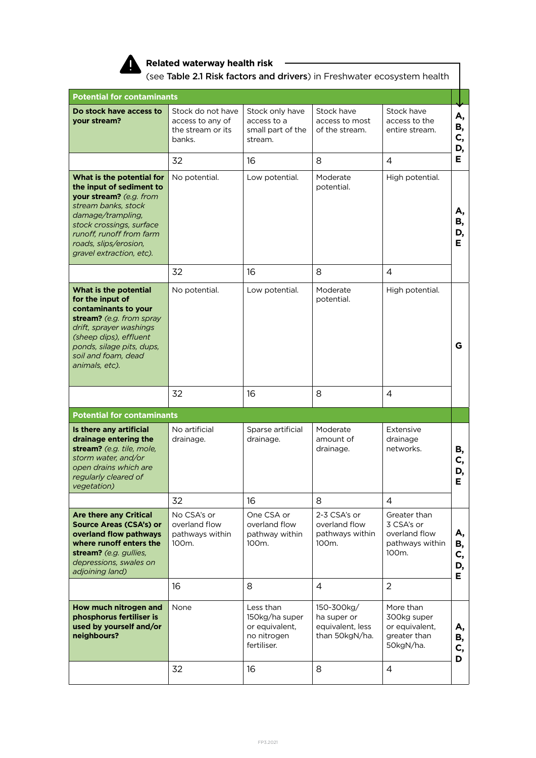

#### **Related waterway health risk**

(see Table 2.1 Risk factors and drivers) in Freshwater ecosystem health

| <b>Potential for contaminants</b>                                                                                                                                                                                                         |                                                                       |                                                                             |                                                                 |                                                                         |                      |
|-------------------------------------------------------------------------------------------------------------------------------------------------------------------------------------------------------------------------------------------|-----------------------------------------------------------------------|-----------------------------------------------------------------------------|-----------------------------------------------------------------|-------------------------------------------------------------------------|----------------------|
| Do stock have access to<br>your stream?                                                                                                                                                                                                   | Stock do not have<br>access to any of<br>the stream or its<br>banks.  | Stock only have<br>access to a<br>small part of the<br>stream.              | Stock have<br>access to most<br>of the stream.                  | Stock have<br>access to the<br>entire stream.                           | А,<br>В,<br>C,<br>D, |
|                                                                                                                                                                                                                                           | 32                                                                    | 16                                                                          | 8                                                               | $\overline{4}$                                                          | Е.                   |
| What is the potential for<br>the input of sediment to<br>your stream? (e.g. from<br>stream banks, stock<br>damage/trampling,<br>stock crossings, surface<br>runoff, runoff from farm<br>roads, slips/erosion,<br>gravel extraction, etc). | No potential.                                                         | Low potential.                                                              | Moderate<br>potential.                                          | High potential.                                                         | А,<br>В,<br>D,<br>E. |
|                                                                                                                                                                                                                                           | 32                                                                    | 16                                                                          | 8                                                               | $\overline{4}$                                                          |                      |
| What is the potential<br>for the input of<br>contaminants to your<br>stream? (e.g. from spray<br>drift, sprayer washings<br>(sheep dips), effluent<br>ponds, silage pits, dups,<br>soil and foam, dead<br>animals, etc).                  | No potential.                                                         | Low potential.                                                              | Moderate<br>potential.                                          | High potential.                                                         | G                    |
|                                                                                                                                                                                                                                           |                                                                       |                                                                             |                                                                 |                                                                         |                      |
|                                                                                                                                                                                                                                           | 32                                                                    | 16                                                                          | 8                                                               | 4                                                                       |                      |
| <b>Potential for contaminants</b>                                                                                                                                                                                                         |                                                                       |                                                                             |                                                                 |                                                                         |                      |
| Is there any artificial<br>drainage entering the<br>stream? (e.g. tile, mole,<br>storm water, and/or<br>open drains which are<br>regularly cleared of<br>vegetation)                                                                      | No artificial<br>drainage.                                            | Sparse artificial<br>drainage.                                              | Moderate<br>amount of<br>drainage.                              | Extensive<br>drainage<br>networks.                                      | В,<br>C,<br>D,<br>Е  |
|                                                                                                                                                                                                                                           | 32                                                                    | 16                                                                          | 8                                                               | $\overline{4}$                                                          |                      |
| <b>Are there any Critical</b><br><b>Source Areas (CSA's) or</b><br>overland flow pathways<br>where runoff enters the<br>stream? (e.g. gullies,<br>depressions, swales on<br>adjoining land)                                               | No CSA's or<br>overland flow<br>pathways within<br>100 <sub>m</sub> . | One CSA or<br>overland flow<br>pathway within<br>100m.                      | 2-3 CSA's or<br>overland flow<br>pathways within<br>100m.       | Greater than<br>3 CSA's or<br>overland flow<br>pathways within<br>100m. | Α,<br>В,<br>C,<br>D, |
|                                                                                                                                                                                                                                           | 16                                                                    | 8                                                                           | $\overline{4}$                                                  | $\overline{2}$                                                          | Е.                   |
| How much nitrogen and<br>phosphorus fertiliser is<br>used by yourself and/or<br>neighbours?                                                                                                                                               | None                                                                  | Less than<br>150kg/ha super<br>or equivalent,<br>no nitrogen<br>fertiliser. | 150-300kg/<br>ha super or<br>equivalent, less<br>than 50kgN/ha. | More than<br>300kg super<br>or equivalent,<br>greater than<br>50kgN/ha. | А,<br>В,<br>C,<br>D  |